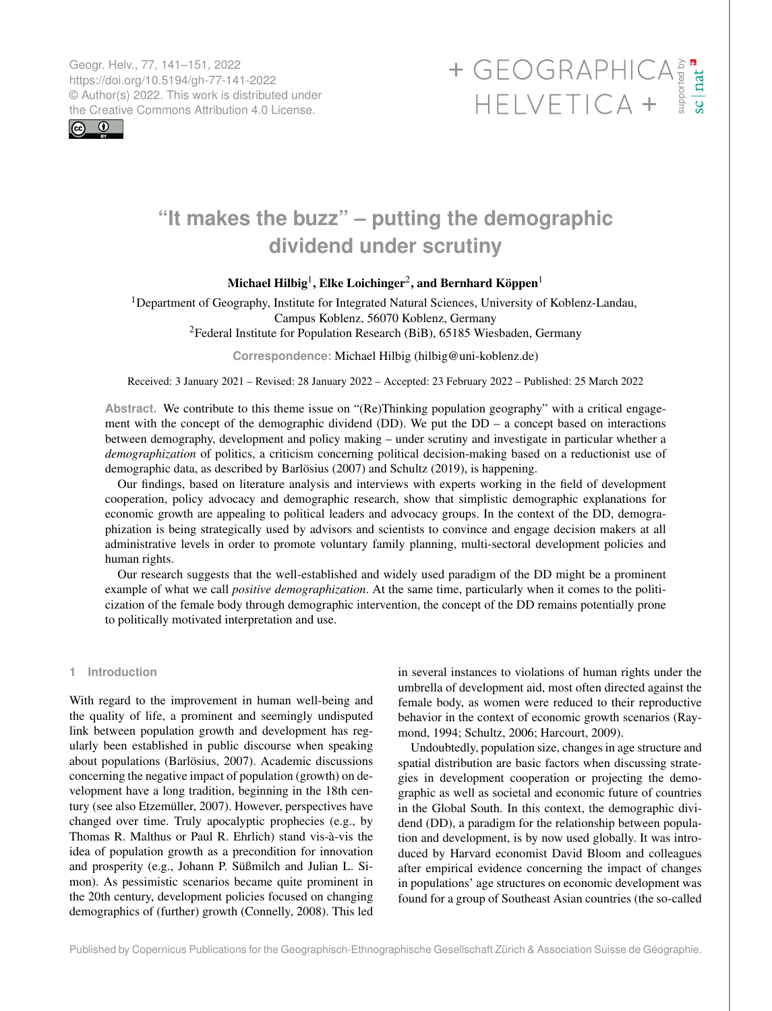Geogr. Helv., 77, 141–151, 2022 https://doi.org/10.5194/gh-77-141-2022 © Author(s) 2022. This work is distributed under



# Geogr. Helv., 77, 141–151, 2022<br>https://doi.org/10.5194/gh-77-141-2022<br>
© Author(s) 2022. This work is distributed under<br>
the Creative Commons Attribution 4.0 License.<br>
HELVETICA +

## **"It makes the buzz" – putting the demographic dividend under scrutiny**

## Michael Hilbig $^1$  $^1$ , Elke Loichinger $^2$  $^2$ , and Bernhard Köppen $^1$

<sup>1</sup>Department of Geography, Institute for Integrated Natural Sciences, University of Koblenz-Landau, Campus Koblenz, 56070 Koblenz, Germany <sup>2</sup>Federal Institute for Population Research (BiB), 65185 Wiesbaden, Germany

**Correspondence:** Michael Hilbig (hilbig@uni-koblenz.de)

Received: 3 January 2021 – Revised: 28 January 2022 – Accepted: 23 February 2022 – Published: 25 March 2022

**Abstract.** We contribute to this theme issue on "(Re)Thinking population geography" with a critical engagement with the concept of the demographic dividend (DD). We put the DD – a concept based on interactions between demography, development and policy making – under scrutiny and investigate in particular whether a *demographization* of politics, a criticism concerning political decision-making based on a reductionist use of demographic data, as described by Barlösius (2007) and Schultz (2019), is happening.

Our findings, based on literature analysis and interviews with experts working in the field of development cooperation, policy advocacy and demographic research, show that simplistic demographic explanations for economic growth are appealing to political leaders and advocacy groups. In the context of the DD, demographization is being strategically used by advisors and scientists to convince and engage decision makers at all administrative levels in order to promote voluntary family planning, multi-sectoral development policies and human rights.

Our research suggests that the well-established and widely used paradigm of the DD might be a prominent example of what we call *positive demographization*. At the same time, particularly when it comes to the politicization of the female body through demographic intervention, the concept of the DD remains potentially prone to politically motivated interpretation and use.

### <span id="page-0-0"></span>**1 Introduction**

With regard to the improvement in human well-being and the quality of life, a prominent and seemingly undisputed link between population growth and development has regularly been established in public discourse when speaking about populations (Barlösius, 2007). Academic discussions concerning the negative impact of population (growth) on development have a long tradition, beginning in the 18th century (see also Etzemüller, 2007). However, perspectives have changed over time. Truly apocalyptic prophecies (e.g., by Thomas R. Malthus or Paul R. Ehrlich) stand vis-à-vis the idea of population growth as a precondition for innovation and prosperity (e.g., Johann P. Süßmilch and Julian L. Simon). As pessimistic scenarios became quite prominent in the 20th century, development policies focused on changing demographics of (further) growth (Connelly, 2008). This led in several instances to violations of human rights under the umbrella of development aid, most often directed against the female body, as women were reduced to their reproductive behavior in the context of economic growth scenarios (Raymond, 1994; Schultz, 2006; Harcourt, 2009).

Undoubtedly, population size, changes in age structure and spatial distribution are basic factors when discussing strategies in development cooperation or projecting the demographic as well as societal and economic future of countries in the Global South. In this context, the demographic dividend (DD), a paradigm for the relationship between population and development, is by now used globally. It was introduced by Harvard economist David Bloom and colleagues after empirical evidence concerning the impact of changes in populations' age structures on economic development was found for a group of Southeast Asian countries (the so-called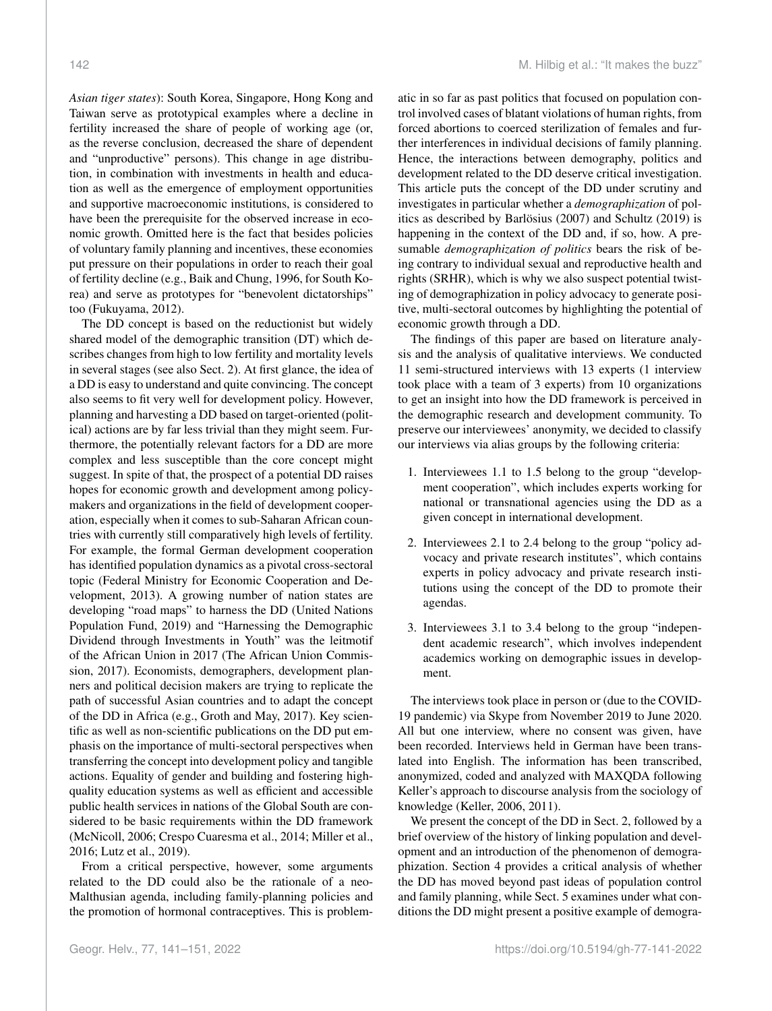*Asian tiger states*): South Korea, Singapore, Hong Kong and Taiwan serve as prototypical examples where a decline in fertility increased the share of people of working age (or, as the reverse conclusion, decreased the share of dependent and "unproductive" persons). This change in age distribution, in combination with investments in health and education as well as the emergence of employment opportunities and supportive macroeconomic institutions, is considered to have been the prerequisite for the observed increase in economic growth. Omitted here is the fact that besides policies of voluntary family planning and incentives, these economies put pressure on their populations in order to reach their goal of fertility decline (e.g., Baik and Chung, 1996, for South Korea) and serve as prototypes for "benevolent dictatorships" too (Fukuyama, 2012).

The DD concept is based on the reductionist but widely shared model of the demographic transition (DT) which describes changes from high to low fertility and mortality levels in several stages (see also Sect. 2). At first glance, the idea of a DD is easy to understand and quite convincing. The concept also seems to fit very well for development policy. However, planning and harvesting a DD based on target-oriented (political) actions are by far less trivial than they might seem. Furthermore, the potentially relevant factors for a DD are more complex and less susceptible than the core concept might suggest. In spite of that, the prospect of a potential DD raises hopes for economic growth and development among policymakers and organizations in the field of development cooperation, especially when it comes to sub-Saharan African countries with currently still comparatively high levels of fertility. For example, the formal German development cooperation has identified population dynamics as a pivotal cross-sectoral topic (Federal Ministry for Economic Cooperation and Development, 2013). A growing number of nation states are developing "road maps" to harness the DD (United Nations Population Fund, 2019) and "Harnessing the Demographic Dividend through Investments in Youth" was the leitmotif of the African Union in 2017 (The African Union Commission, 2017). Economists, demographers, development planners and political decision makers are trying to replicate the path of successful Asian countries and to adapt the concept of the DD in Africa (e.g., Groth and May, 2017). Key scientific as well as non-scientific publications on the DD put emphasis on the importance of multi-sectoral perspectives when transferring the concept into development policy and tangible actions. Equality of gender and building and fostering highquality education systems as well as efficient and accessible public health services in nations of the Global South are considered to be basic requirements within the DD framework (McNicoll, 2006; Crespo Cuaresma et al., 2014; Miller et al., 2016; Lutz et al., 2019).

From a critical perspective, however, some arguments related to the DD could also be the rationale of a neo-Malthusian agenda, including family-planning policies and the promotion of hormonal contraceptives. This is problematic in so far as past politics that focused on population control involved cases of blatant violations of human rights, from forced abortions to coerced sterilization of females and further interferences in individual decisions of family planning. Hence, the interactions between demography, politics and development related to the DD deserve critical investigation. This article puts the concept of the DD under scrutiny and investigates in particular whether a *demographization* of politics as described by Barlösius (2007) and Schultz (2019) is happening in the context of the DD and, if so, how. A presumable *demographization of politics* bears the risk of being contrary to individual sexual and reproductive health and rights (SRHR), which is why we also suspect potential twisting of demographization in policy advocacy to generate positive, multi-sectoral outcomes by highlighting the potential of economic growth through a DD.

The findings of this paper are based on literature analysis and the analysis of qualitative interviews. We conducted 11 semi-structured interviews with 13 experts (1 interview took place with a team of 3 experts) from 10 organizations to get an insight into how the DD framework is perceived in the demographic research and development community. To preserve our interviewees' anonymity, we decided to classify our interviews via alias groups by the following criteria:

- 1. Interviewees 1.1 to 1.5 belong to the group "development cooperation", which includes experts working for national or transnational agencies using the DD as a given concept in international development.
- 2. Interviewees 2.1 to 2.4 belong to the group "policy advocacy and private research institutes", which contains experts in policy advocacy and private research institutions using the concept of the DD to promote their agendas.
- 3. Interviewees 3.1 to 3.4 belong to the group "independent academic research", which involves independent academics working on demographic issues in development.

The interviews took place in person or (due to the COVID-19 pandemic) via Skype from November 2019 to June 2020. All but one interview, where no consent was given, have been recorded. Interviews held in German have been translated into English. The information has been transcribed, anonymized, coded and analyzed with MAXQDA following Keller's approach to discourse analysis from the sociology of knowledge (Keller, 2006, 2011).

We present the concept of the DD in Sect. 2, followed by a brief overview of the history of linking population and development and an introduction of the phenomenon of demographization. Section 4 provides a critical analysis of whether the DD has moved beyond past ideas of population control and family planning, while Sect. 5 examines under what conditions the DD might present a positive example of demogra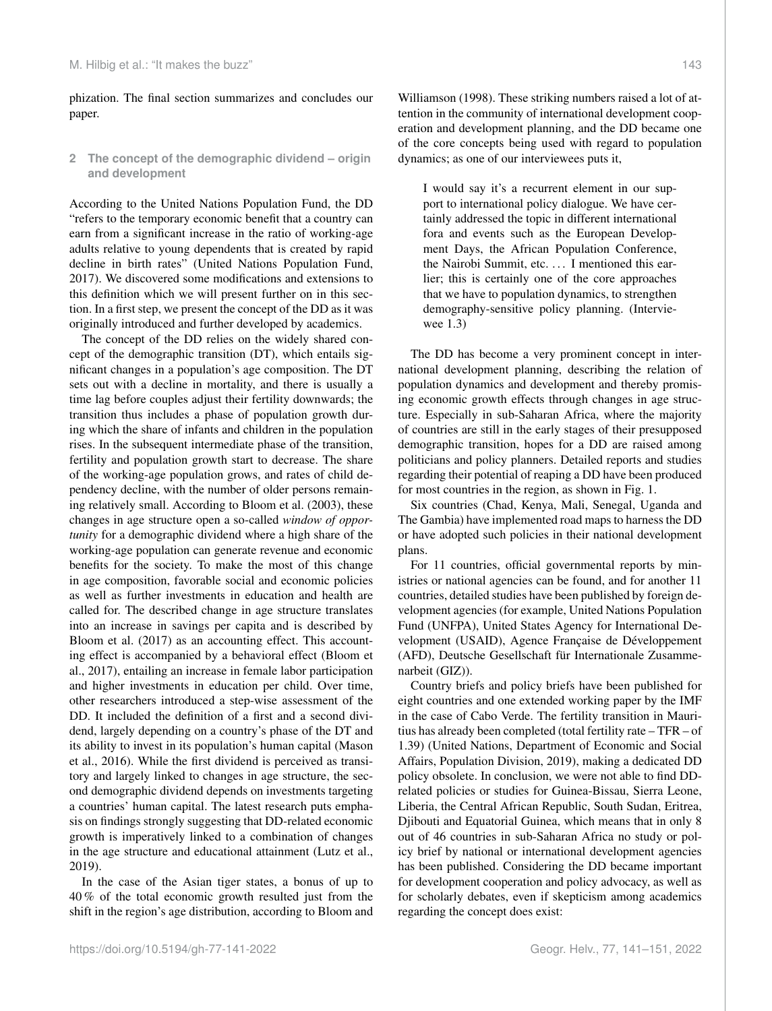phization. The final section summarizes and concludes our paper.

## **2 The concept of the demographic dividend – origin and development**

According to the United Nations Population Fund, the DD "refers to the temporary economic benefit that a country can earn from a significant increase in the ratio of working-age adults relative to young dependents that is created by rapid decline in birth rates" (United Nations Population Fund, 2017). We discovered some modifications and extensions to this definition which we will present further on in this section. In a first step, we present the concept of the DD as it was originally introduced and further developed by academics.

The concept of the DD relies on the widely shared concept of the demographic transition (DT), which entails significant changes in a population's age composition. The DT sets out with a decline in mortality, and there is usually a time lag before couples adjust their fertility downwards; the transition thus includes a phase of population growth during which the share of infants and children in the population rises. In the subsequent intermediate phase of the transition, fertility and population growth start to decrease. The share of the working-age population grows, and rates of child dependency decline, with the number of older persons remaining relatively small. According to Bloom et al. (2003), these changes in age structure open a so-called *window of opportunity* for a demographic dividend where a high share of the working-age population can generate revenue and economic benefits for the society. To make the most of this change in age composition, favorable social and economic policies as well as further investments in education and health are called for. The described change in age structure translates into an increase in savings per capita and is described by Bloom et al. (2017) as an accounting effect. This accounting effect is accompanied by a behavioral effect (Bloom et al., 2017), entailing an increase in female labor participation and higher investments in education per child. Over time, other researchers introduced a step-wise assessment of the DD. It included the definition of a first and a second dividend, largely depending on a country's phase of the DT and its ability to invest in its population's human capital (Mason et al., 2016). While the first dividend is perceived as transitory and largely linked to changes in age structure, the second demographic dividend depends on investments targeting a countries' human capital. The latest research puts emphasis on findings strongly suggesting that DD-related economic growth is imperatively linked to a combination of changes in the age structure and educational attainment (Lutz et al., 2019).

In the case of the Asian tiger states, a bonus of up to 40 % of the total economic growth resulted just from the shift in the region's age distribution, according to Bloom and

Williamson (1998). These striking numbers raised a lot of attention in the community of international development cooperation and development planning, and the DD became one of the core concepts being used with regard to population dynamics; as one of our interviewees puts it,

I would say it's a recurrent element in our support to international policy dialogue. We have certainly addressed the topic in different international fora and events such as the European Development Days, the African Population Conference, the Nairobi Summit, etc. . . . I mentioned this earlier; this is certainly one of the core approaches that we have to population dynamics, to strengthen demography-sensitive policy planning. (Interviewee 1.3)

The DD has become a very prominent concept in international development planning, describing the relation of population dynamics and development and thereby promising economic growth effects through changes in age structure. Especially in sub-Saharan Africa, where the majority of countries are still in the early stages of their presupposed demographic transition, hopes for a DD are raised among politicians and policy planners. Detailed reports and studies regarding their potential of reaping a DD have been produced for most countries in the region, as shown in Fig. 1.

Six countries (Chad, Kenya, Mali, Senegal, Uganda and The Gambia) have implemented road maps to harness the DD or have adopted such policies in their national development plans.

For 11 countries, official governmental reports by ministries or national agencies can be found, and for another 11 countries, detailed studies have been published by foreign development agencies (for example, United Nations Population Fund (UNFPA), United States Agency for International Development (USAID), Agence Française de Développement (AFD), Deutsche Gesellschaft für Internationale Zusammenarbeit (GIZ)).

Country briefs and policy briefs have been published for eight countries and one extended working paper by the IMF in the case of Cabo Verde. The fertility transition in Mauritius has already been completed (total fertility rate – TFR – of 1.39) (United Nations, Department of Economic and Social Affairs, Population Division, 2019), making a dedicated DD policy obsolete. In conclusion, we were not able to find DDrelated policies or studies for Guinea-Bissau, Sierra Leone, Liberia, the Central African Republic, South Sudan, Eritrea, Djibouti and Equatorial Guinea, which means that in only 8 out of 46 countries in sub-Saharan Africa no study or policy brief by national or international development agencies has been published. Considering the DD became important for development cooperation and policy advocacy, as well as for scholarly debates, even if skepticism among academics regarding the concept does exist: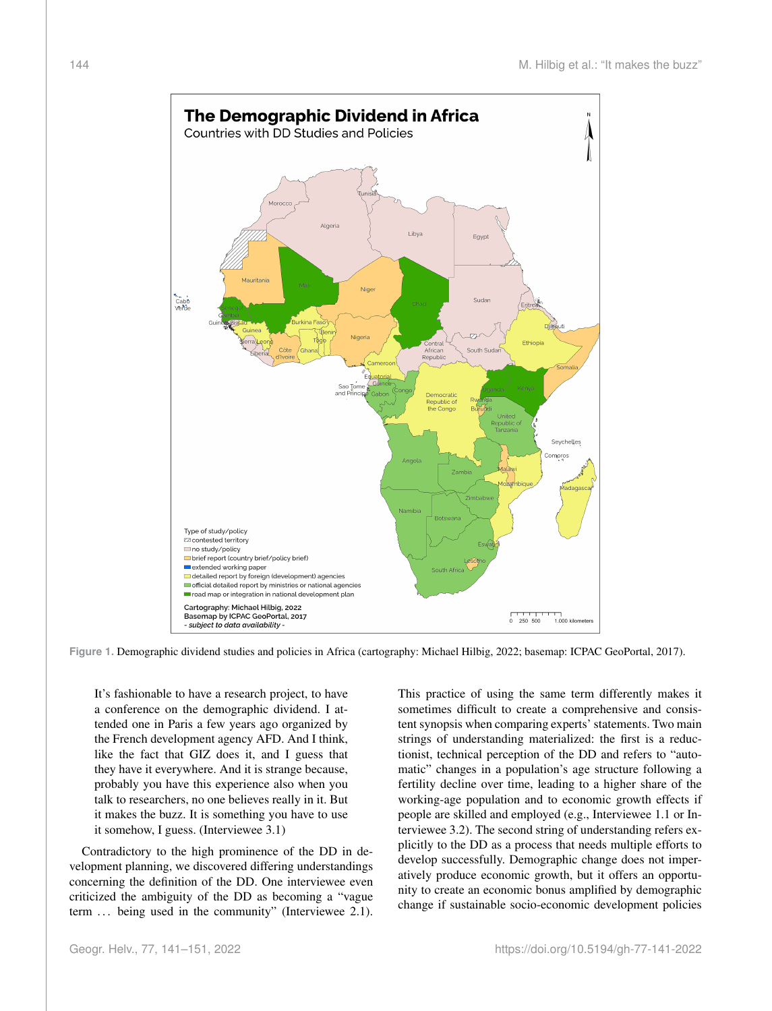

**Figure 1.** Demographic dividend studies and policies in Africa (cartography: Michael Hilbig, 2022; basemap: ICPAC GeoPortal, 2017).

It's fashionable to have a research project, to have a conference on the demographic dividend. I attended one in Paris a few years ago organized by the French development agency AFD. And I think, like the fact that GIZ does it, and I guess that they have it everywhere. And it is strange because, probably you have this experience also when you talk to researchers, no one believes really in it. But it makes the buzz. It is something you have to use it somehow, I guess. (Interviewee 3.1)

Contradictory to the high prominence of the DD in development planning, we discovered differing understandings concerning the definition of the DD. One interviewee even criticized the ambiguity of the DD as becoming a "vague term ... being used in the community" (Interviewee 2.1). This practice of using the same term differently makes it sometimes difficult to create a comprehensive and consistent synopsis when comparing experts' statements. Two main strings of understanding materialized: the first is a reductionist, technical perception of the DD and refers to "automatic" changes in a population's age structure following a fertility decline over time, leading to a higher share of the working-age population and to economic growth effects if people are skilled and employed (e.g., Interviewee 1.1 or Interviewee 3.2). The second string of understanding refers explicitly to the DD as a process that needs multiple efforts to develop successfully. Demographic change does not imperatively produce economic growth, but it offers an opportunity to create an economic bonus amplified by demographic change if sustainable socio-economic development policies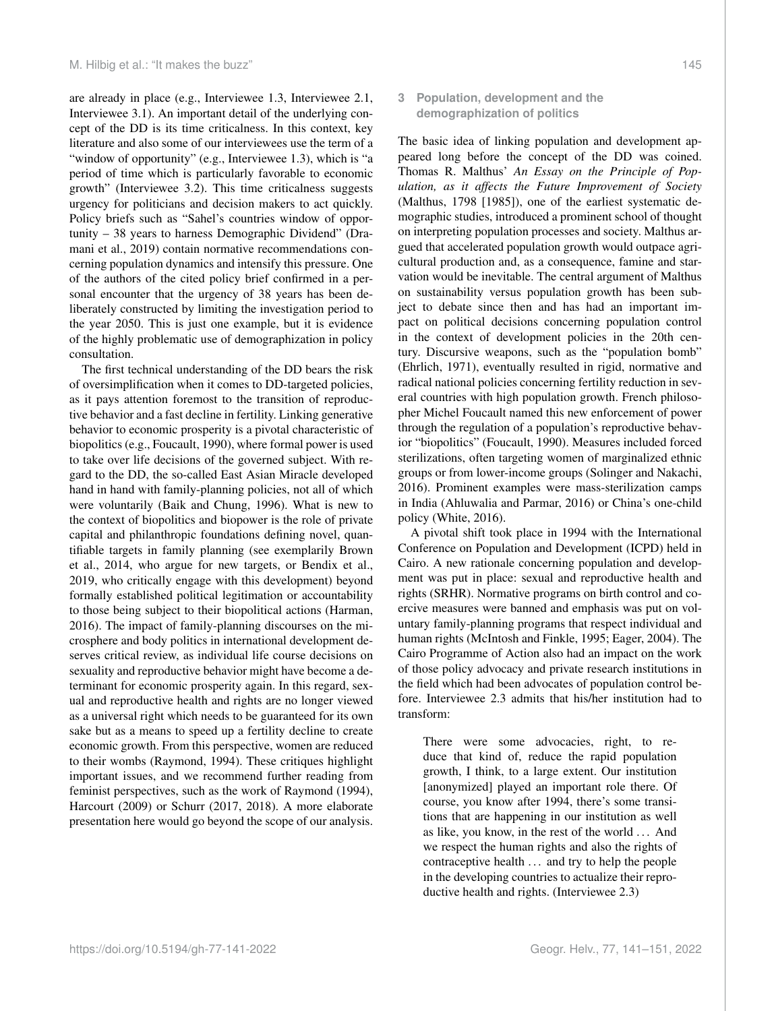are already in place (e.g., Interviewee 1.3, Interviewee 2.1, Interviewee 3.1). An important detail of the underlying concept of the DD is its time criticalness. In this context, key literature and also some of our interviewees use the term of a "window of opportunity" (e.g., Interviewee 1.3), which is "a period of time which is particularly favorable to economic growth" (Interviewee 3.2). This time criticalness suggests urgency for politicians and decision makers to act quickly. Policy briefs such as "Sahel's countries window of opportunity – 38 years to harness Demographic Dividend" (Dramani et al., 2019) contain normative recommendations concerning population dynamics and intensify this pressure. One of the authors of the cited policy brief confirmed in a personal encounter that the urgency of 38 years has been deliberately constructed by limiting the investigation period to the year 2050. This is just one example, but it is evidence of the highly problematic use of demographization in policy consultation.

The first technical understanding of the DD bears the risk of oversimplification when it comes to DD-targeted policies, as it pays attention foremost to the transition of reproductive behavior and a fast decline in fertility. Linking generative behavior to economic prosperity is a pivotal characteristic of biopolitics (e.g., Foucault, 1990), where formal power is used to take over life decisions of the governed subject. With regard to the DD, the so-called East Asian Miracle developed hand in hand with family-planning policies, not all of which were voluntarily (Baik and Chung, 1996). What is new to the context of biopolitics and biopower is the role of private capital and philanthropic foundations defining novel, quantifiable targets in family planning (see exemplarily Brown et al., 2014, who argue for new targets, or Bendix et al., 2019, who critically engage with this development) beyond formally established political legitimation or accountability to those being subject to their biopolitical actions (Harman, 2016). The impact of family-planning discourses on the microsphere and body politics in international development deserves critical review, as individual life course decisions on sexuality and reproductive behavior might have become a determinant for economic prosperity again. In this regard, sexual and reproductive health and rights are no longer viewed as a universal right which needs to be guaranteed for its own sake but as a means to speed up a fertility decline to create economic growth. From this perspective, women are reduced to their wombs (Raymond, 1994). These critiques highlight important issues, and we recommend further reading from feminist perspectives, such as the work of Raymond (1994), Harcourt (2009) or Schurr (2017, 2018). A more elaborate presentation here would go beyond the scope of our analysis.

## https://doi.org/10.5194/gh-77-141-2022 Geogr. Helv., 77, 141–151, 2022

## **3 Population, development and the demographization of politics**

The basic idea of linking population and development appeared long before the concept of the DD was coined. Thomas R. Malthus' *An Essay on the Principle of Population, as it affects the Future Improvement of Society* (Malthus, 1798 [1985]), one of the earliest systematic demographic studies, introduced a prominent school of thought on interpreting population processes and society. Malthus argued that accelerated population growth would outpace agricultural production and, as a consequence, famine and starvation would be inevitable. The central argument of Malthus on sustainability versus population growth has been subject to debate since then and has had an important impact on political decisions concerning population control in the context of development policies in the 20th century. Discursive weapons, such as the "population bomb" (Ehrlich, 1971), eventually resulted in rigid, normative and radical national policies concerning fertility reduction in several countries with high population growth. French philosopher Michel Foucault named this new enforcement of power through the regulation of a population's reproductive behavior "biopolitics" (Foucault, 1990). Measures included forced sterilizations, often targeting women of marginalized ethnic groups or from lower-income groups (Solinger and Nakachi, 2016). Prominent examples were mass-sterilization camps in India (Ahluwalia and Parmar, 2016) or China's one-child policy (White, 2016).

A pivotal shift took place in 1994 with the International Conference on Population and Development (ICPD) held in Cairo. A new rationale concerning population and development was put in place: sexual and reproductive health and rights (SRHR). Normative programs on birth control and coercive measures were banned and emphasis was put on voluntary family-planning programs that respect individual and human rights (McIntosh and Finkle, 1995; Eager, 2004). The Cairo Programme of Action also had an impact on the work of those policy advocacy and private research institutions in the field which had been advocates of population control before. Interviewee 2.3 admits that his/her institution had to transform:

There were some advocacies, right, to reduce that kind of, reduce the rapid population growth, I think, to a large extent. Our institution [anonymized] played an important role there. Of course, you know after 1994, there's some transitions that are happening in our institution as well as like, you know, in the rest of the world . . . And we respect the human rights and also the rights of contraceptive health . . . and try to help the people in the developing countries to actualize their reproductive health and rights. (Interviewee 2.3)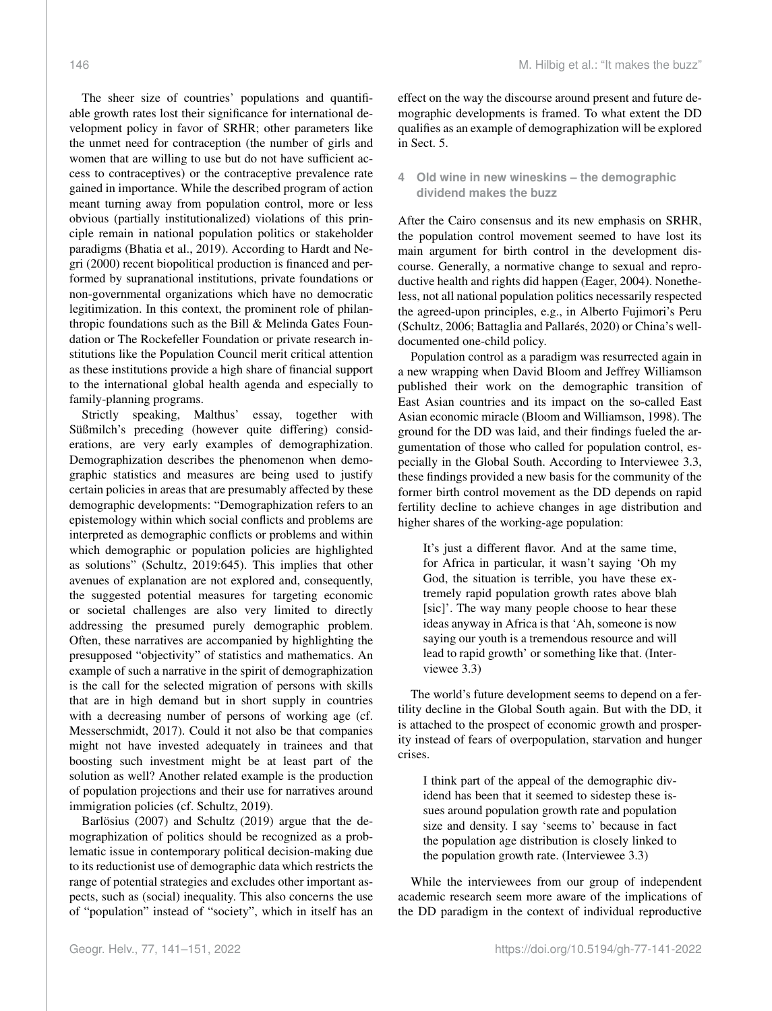The sheer size of countries' populations and quantifiable growth rates lost their significance for international development policy in favor of SRHR; other parameters like the unmet need for contraception (the number of girls and women that are willing to use but do not have sufficient access to contraceptives) or the contraceptive prevalence rate gained in importance. While the described program of action meant turning away from population control, more or less obvious (partially institutionalized) violations of this principle remain in national population politics or stakeholder paradigms (Bhatia et al., 2019). According to Hardt and Negri (2000) recent biopolitical production is financed and performed by supranational institutions, private foundations or non-governmental organizations which have no democratic legitimization. In this context, the prominent role of philanthropic foundations such as the Bill & Melinda Gates Foundation or The Rockefeller Foundation or private research institutions like the Population Council merit critical attention as these institutions provide a high share of financial support to the international global health agenda and especially to family-planning programs.

Strictly speaking, Malthus' essay, together with Süßmilch's preceding (however quite differing) considerations, are very early examples of demographization. Demographization describes the phenomenon when demographic statistics and measures are being used to justify certain policies in areas that are presumably affected by these demographic developments: "Demographization refers to an epistemology within which social conflicts and problems are interpreted as demographic conflicts or problems and within which demographic or population policies are highlighted as solutions" (Schultz, 2019:645). This implies that other avenues of explanation are not explored and, consequently, the suggested potential measures for targeting economic or societal challenges are also very limited to directly addressing the presumed purely demographic problem. Often, these narratives are accompanied by highlighting the presupposed "objectivity" of statistics and mathematics. An example of such a narrative in the spirit of demographization is the call for the selected migration of persons with skills that are in high demand but in short supply in countries with a decreasing number of persons of working age (cf. Messerschmidt, 2017). Could it not also be that companies might not have invested adequately in trainees and that boosting such investment might be at least part of the solution as well? Another related example is the production of population projections and their use for narratives around immigration policies (cf. Schultz, 2019).

Barlösius (2007) and Schultz (2019) argue that the demographization of politics should be recognized as a problematic issue in contemporary political decision-making due to its reductionist use of demographic data which restricts the range of potential strategies and excludes other important aspects, such as (social) inequality. This also concerns the use of "population" instead of "society", which in itself has an effect on the way the discourse around present and future demographic developments is framed. To what extent the DD qualifies as an example of demographization will be explored in Sect. 5.

## **4 Old wine in new wineskins – the demographic dividend makes the buzz**

After the Cairo consensus and its new emphasis on SRHR, the population control movement seemed to have lost its main argument for birth control in the development discourse. Generally, a normative change to sexual and reproductive health and rights did happen (Eager, 2004). Nonetheless, not all national population politics necessarily respected the agreed-upon principles, e.g., in Alberto Fujimori's Peru (Schultz, 2006; Battaglia and Pallarés, 2020) or China's welldocumented one-child policy.

Population control as a paradigm was resurrected again in a new wrapping when David Bloom and Jeffrey Williamson published their work on the demographic transition of East Asian countries and its impact on the so-called East Asian economic miracle (Bloom and Williamson, 1998). The ground for the DD was laid, and their findings fueled the argumentation of those who called for population control, especially in the Global South. According to Interviewee 3.3, these findings provided a new basis for the community of the former birth control movement as the DD depends on rapid fertility decline to achieve changes in age distribution and higher shares of the working-age population:

It's just a different flavor. And at the same time, for Africa in particular, it wasn't saying 'Oh my God, the situation is terrible, you have these extremely rapid population growth rates above blah [sic]'. The way many people choose to hear these ideas anyway in Africa is that 'Ah, someone is now saying our youth is a tremendous resource and will lead to rapid growth' or something like that. (Interviewee 3.3)

The world's future development seems to depend on a fertility decline in the Global South again. But with the DD, it is attached to the prospect of economic growth and prosperity instead of fears of overpopulation, starvation and hunger crises.

I think part of the appeal of the demographic dividend has been that it seemed to sidestep these issues around population growth rate and population size and density. I say 'seems to' because in fact the population age distribution is closely linked to the population growth rate. (Interviewee 3.3)

While the interviewees from our group of independent academic research seem more aware of the implications of the DD paradigm in the context of individual reproductive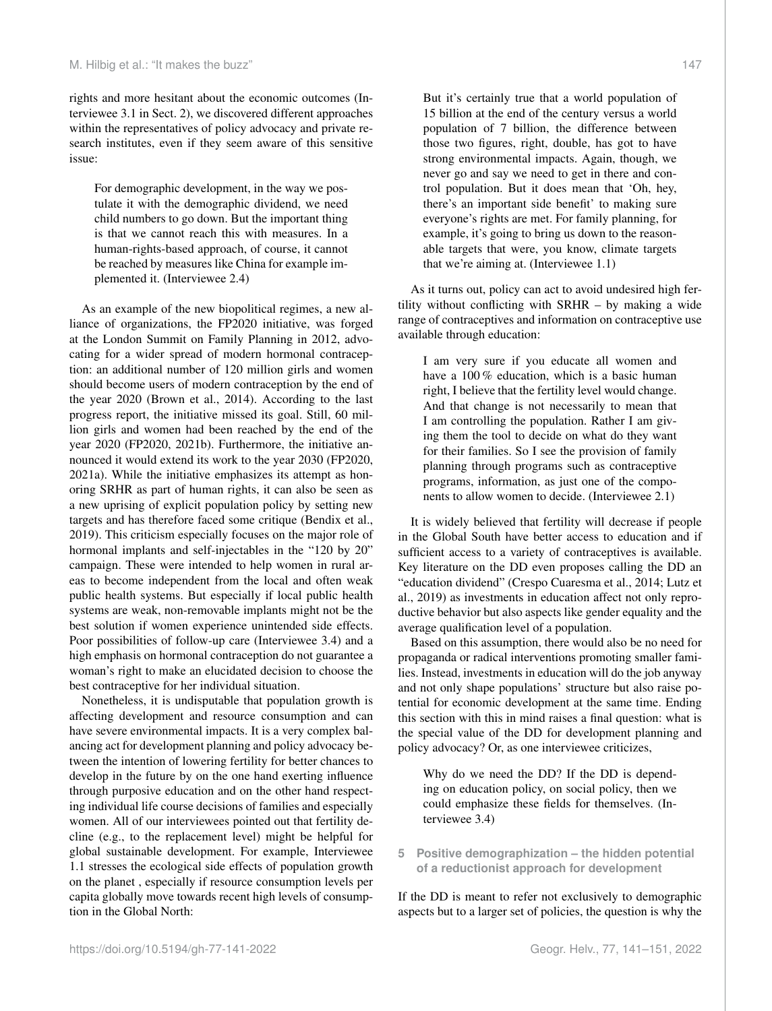rights and more hesitant about the economic outcomes (Interviewee 3.1 in Sect. 2), we discovered different approaches within the representatives of policy advocacy and private research institutes, even if they seem aware of this sensitive issue:

For demographic development, in the way we postulate it with the demographic dividend, we need child numbers to go down. But the important thing is that we cannot reach this with measures. In a human-rights-based approach, of course, it cannot be reached by measures like China for example implemented it. (Interviewee 2.4)

As an example of the new biopolitical regimes, a new alliance of organizations, the FP2020 initiative, was forged at the London Summit on Family Planning in 2012, advocating for a wider spread of modern hormonal contraception: an additional number of 120 million girls and women should become users of modern contraception by the end of the year 2020 (Brown et al., 2014). According to the last progress report, the initiative missed its goal. Still, 60 million girls and women had been reached by the end of the year 2020 (FP2020, 2021b). Furthermore, the initiative announced it would extend its work to the year 2030 (FP2020, 2021a). While the initiative emphasizes its attempt as honoring SRHR as part of human rights, it can also be seen as a new uprising of explicit population policy by setting new targets and has therefore faced some critique (Bendix et al., 2019). This criticism especially focuses on the major role of hormonal implants and self-injectables in the "120 by 20" campaign. These were intended to help women in rural areas to become independent from the local and often weak public health systems. But especially if local public health systems are weak, non-removable implants might not be the best solution if women experience unintended side effects. Poor possibilities of follow-up care (Interviewee 3.4) and a high emphasis on hormonal contraception do not guarantee a woman's right to make an elucidated decision to choose the best contraceptive for her individual situation.

Nonetheless, it is undisputable that population growth is affecting development and resource consumption and can have severe environmental impacts. It is a very complex balancing act for development planning and policy advocacy between the intention of lowering fertility for better chances to develop in the future by on the one hand exerting influence through purposive education and on the other hand respecting individual life course decisions of families and especially women. All of our interviewees pointed out that fertility decline (e.g., to the replacement level) might be helpful for global sustainable development. For example, Interviewee 1.1 stresses the ecological side effects of population growth on the planet , especially if resource consumption levels per capita globally move towards recent high levels of consumption in the Global North:

But it's certainly true that a world population of 15 billion at the end of the century versus a world population of 7 billion, the difference between those two figures, right, double, has got to have strong environmental impacts. Again, though, we never go and say we need to get in there and control population. But it does mean that 'Oh, hey, there's an important side benefit' to making sure everyone's rights are met. For family planning, for example, it's going to bring us down to the reasonable targets that were, you know, climate targets that we're aiming at. (Interviewee 1.1)

As it turns out, policy can act to avoid undesired high fertility without conflicting with SRHR – by making a wide range of contraceptives and information on contraceptive use available through education:

I am very sure if you educate all women and have a 100 % education, which is a basic human right, I believe that the fertility level would change. And that change is not necessarily to mean that I am controlling the population. Rather I am giving them the tool to decide on what do they want for their families. So I see the provision of family planning through programs such as contraceptive programs, information, as just one of the components to allow women to decide. (Interviewee 2.1)

It is widely believed that fertility will decrease if people in the Global South have better access to education and if sufficient access to a variety of contraceptives is available. Key literature on the DD even proposes calling the DD an "education dividend" (Crespo Cuaresma et al., 2014; Lutz et al., 2019) as investments in education affect not only reproductive behavior but also aspects like gender equality and the average qualification level of a population.

Based on this assumption, there would also be no need for propaganda or radical interventions promoting smaller families. Instead, investments in education will do the job anyway and not only shape populations' structure but also raise potential for economic development at the same time. Ending this section with this in mind raises a final question: what is the special value of the DD for development planning and policy advocacy? Or, as one interviewee criticizes,

Why do we need the DD? If the DD is depending on education policy, on social policy, then we could emphasize these fields for themselves. (Interviewee 3.4)

**5 Positive demographization – the hidden potential of a reductionist approach for development**

If the DD is meant to refer not exclusively to demographic aspects but to a larger set of policies, the question is why the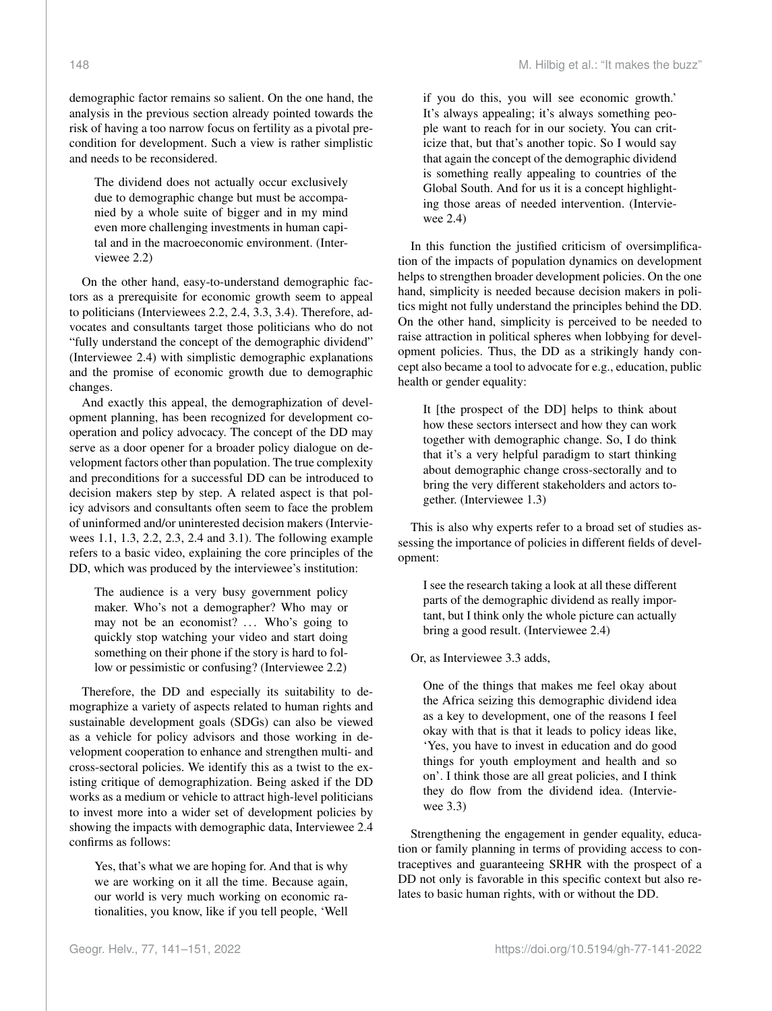demographic factor remains so salient. On the one hand, the analysis in the previous section already pointed towards the risk of having a too narrow focus on fertility as a pivotal precondition for development. Such a view is rather simplistic and needs to be reconsidered.

The dividend does not actually occur exclusively due to demographic change but must be accompanied by a whole suite of bigger and in my mind even more challenging investments in human capital and in the macroeconomic environment. (Interviewee 2.2)

On the other hand, easy-to-understand demographic factors as a prerequisite for economic growth seem to appeal to politicians (Interviewees 2.2, 2.4, 3.3, 3.4). Therefore, advocates and consultants target those politicians who do not "fully understand the concept of the demographic dividend" (Interviewee 2.4) with simplistic demographic explanations and the promise of economic growth due to demographic changes.

And exactly this appeal, the demographization of development planning, has been recognized for development cooperation and policy advocacy. The concept of the DD may serve as a door opener for a broader policy dialogue on development factors other than population. The true complexity and preconditions for a successful DD can be introduced to decision makers step by step. A related aspect is that policy advisors and consultants often seem to face the problem of uninformed and/or uninterested decision makers (Interviewees 1.1, 1.3, 2.2, 2.3, 2.4 and 3.1). The following example refers to a basic video, explaining the core principles of the DD, which was produced by the interviewee's institution:

The audience is a very busy government policy maker. Who's not a demographer? Who may or may not be an economist? ... Who's going to quickly stop watching your video and start doing something on their phone if the story is hard to follow or pessimistic or confusing? (Interviewee 2.2)

Therefore, the DD and especially its suitability to demographize a variety of aspects related to human rights and sustainable development goals (SDGs) can also be viewed as a vehicle for policy advisors and those working in development cooperation to enhance and strengthen multi- and cross-sectoral policies. We identify this as a twist to the existing critique of demographization. Being asked if the DD works as a medium or vehicle to attract high-level politicians to invest more into a wider set of development policies by showing the impacts with demographic data, Interviewee 2.4 confirms as follows:

Yes, that's what we are hoping for. And that is why we are working on it all the time. Because again, our world is very much working on economic rationalities, you know, like if you tell people, 'Well if you do this, you will see economic growth.' It's always appealing; it's always something people want to reach for in our society. You can criticize that, but that's another topic. So I would say that again the concept of the demographic dividend is something really appealing to countries of the Global South. And for us it is a concept highlighting those areas of needed intervention. (Interviewee 2.4)

In this function the justified criticism of oversimplification of the impacts of population dynamics on development helps to strengthen broader development policies. On the one hand, simplicity is needed because decision makers in politics might not fully understand the principles behind the DD. On the other hand, simplicity is perceived to be needed to raise attraction in political spheres when lobbying for development policies. Thus, the DD as a strikingly handy concept also became a tool to advocate for e.g., education, public health or gender equality:

It [the prospect of the DD] helps to think about how these sectors intersect and how they can work together with demographic change. So, I do think that it's a very helpful paradigm to start thinking about demographic change cross-sectorally and to bring the very different stakeholders and actors together. (Interviewee 1.3)

This is also why experts refer to a broad set of studies assessing the importance of policies in different fields of development:

I see the research taking a look at all these different parts of the demographic dividend as really important, but I think only the whole picture can actually bring a good result. (Interviewee 2.4)

Or, as Interviewee 3.3 adds,

One of the things that makes me feel okay about the Africa seizing this demographic dividend idea as a key to development, one of the reasons I feel okay with that is that it leads to policy ideas like, 'Yes, you have to invest in education and do good things for youth employment and health and so on'. I think those are all great policies, and I think they do flow from the dividend idea. (Interviewee 3.3)

Strengthening the engagement in gender equality, education or family planning in terms of providing access to contraceptives and guaranteeing SRHR with the prospect of a DD not only is favorable in this specific context but also relates to basic human rights, with or without the DD.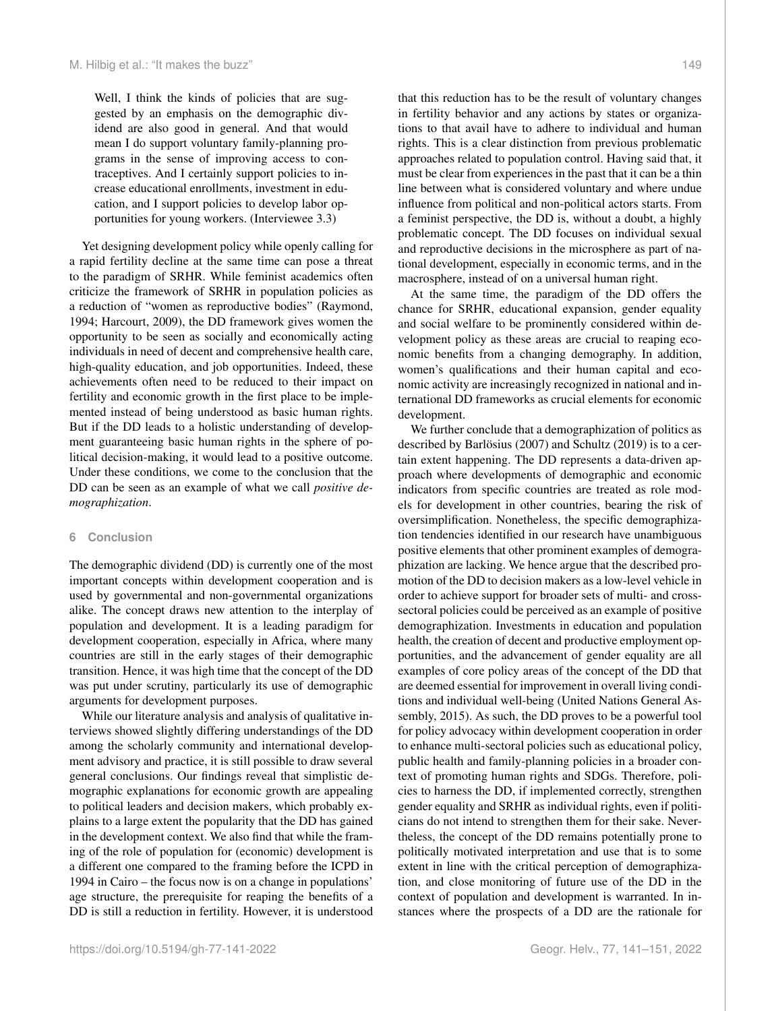Well, I think the kinds of policies that are suggested by an emphasis on the demographic dividend are also good in general. And that would mean I do support voluntary family-planning programs in the sense of improving access to contraceptives. And I certainly support policies to increase educational enrollments, investment in education, and I support policies to develop labor opportunities for young workers. (Interviewee 3.3)

Yet designing development policy while openly calling for a rapid fertility decline at the same time can pose a threat to the paradigm of SRHR. While feminist academics often criticize the framework of SRHR in population policies as a reduction of "women as reproductive bodies" (Raymond, 1994; Harcourt, 2009), the DD framework gives women the opportunity to be seen as socially and economically acting individuals in need of decent and comprehensive health care, high-quality education, and job opportunities. Indeed, these achievements often need to be reduced to their impact on fertility and economic growth in the first place to be implemented instead of being understood as basic human rights. But if the DD leads to a holistic understanding of development guaranteeing basic human rights in the sphere of political decision-making, it would lead to a positive outcome. Under these conditions, we come to the conclusion that the DD can be seen as an example of what we call *positive demographization*.

#### **6 Conclusion**

The demographic dividend (DD) is currently one of the most important concepts within development cooperation and is used by governmental and non-governmental organizations alike. The concept draws new attention to the interplay of population and development. It is a leading paradigm for development cooperation, especially in Africa, where many countries are still in the early stages of their demographic transition. Hence, it was high time that the concept of the DD was put under scrutiny, particularly its use of demographic arguments for development purposes.

While our literature analysis and analysis of qualitative interviews showed slightly differing understandings of the DD among the scholarly community and international development advisory and practice, it is still possible to draw several general conclusions. Our findings reveal that simplistic demographic explanations for economic growth are appealing to political leaders and decision makers, which probably explains to a large extent the popularity that the DD has gained in the development context. We also find that while the framing of the role of population for (economic) development is a different one compared to the framing before the ICPD in 1994 in Cairo – the focus now is on a change in populations' age structure, the prerequisite for reaping the benefits of a DD is still a reduction in fertility. However, it is understood that this reduction has to be the result of voluntary changes in fertility behavior and any actions by states or organizations to that avail have to adhere to individual and human rights. This is a clear distinction from previous problematic approaches related to population control. Having said that, it must be clear from experiences in the past that it can be a thin line between what is considered voluntary and where undue influence from political and non-political actors starts. From a feminist perspective, the DD is, without a doubt, a highly problematic concept. The DD focuses on individual sexual and reproductive decisions in the microsphere as part of national development, especially in economic terms, and in the macrosphere, instead of on a universal human right.

At the same time, the paradigm of the DD offers the chance for SRHR, educational expansion, gender equality and social welfare to be prominently considered within development policy as these areas are crucial to reaping economic benefits from a changing demography. In addition, women's qualifications and their human capital and economic activity are increasingly recognized in national and international DD frameworks as crucial elements for economic development.

We further conclude that a demographization of politics as described by Barlösius (2007) and Schultz (2019) is to a certain extent happening. The DD represents a data-driven approach where developments of demographic and economic indicators from specific countries are treated as role models for development in other countries, bearing the risk of oversimplification. Nonetheless, the specific demographization tendencies identified in our research have unambiguous positive elements that other prominent examples of demographization are lacking. We hence argue that the described promotion of the DD to decision makers as a low-level vehicle in order to achieve support for broader sets of multi- and crosssectoral policies could be perceived as an example of positive demographization. Investments in education and population health, the creation of decent and productive employment opportunities, and the advancement of gender equality are all examples of core policy areas of the concept of the DD that are deemed essential for improvement in overall living conditions and individual well-being (United Nations General Assembly, 2015). As such, the DD proves to be a powerful tool for policy advocacy within development cooperation in order to enhance multi-sectoral policies such as educational policy, public health and family-planning policies in a broader context of promoting human rights and SDGs. Therefore, policies to harness the DD, if implemented correctly, strengthen gender equality and SRHR as individual rights, even if politicians do not intend to strengthen them for their sake. Nevertheless, the concept of the DD remains potentially prone to politically motivated interpretation and use that is to some extent in line with the critical perception of demographization, and close monitoring of future use of the DD in the context of population and development is warranted. In instances where the prospects of a DD are the rationale for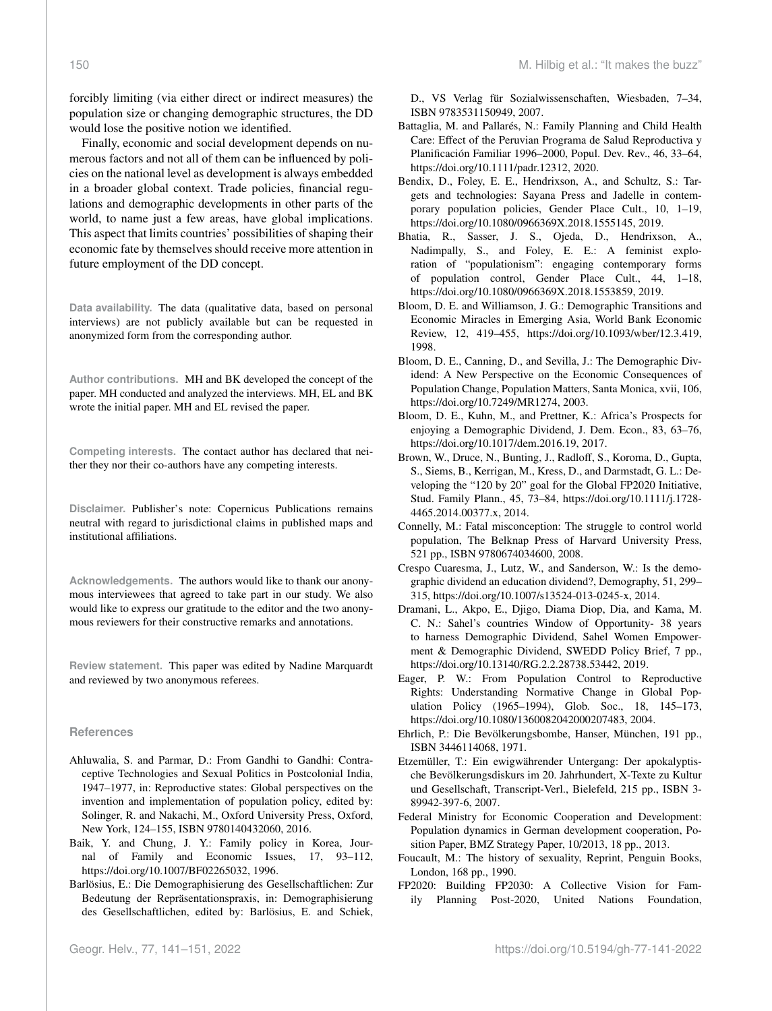forcibly limiting (via either direct or indirect measures) the population size or changing demographic structures, the DD would lose the positive notion we identified.

Finally, economic and social development depends on numerous factors and not all of them can be influenced by policies on the national level as development is always embedded in a broader global context. Trade policies, financial regulations and demographic developments in other parts of the world, to name just a few areas, have global implications. This aspect that limits countries' possibilities of shaping their economic fate by themselves should receive more attention in future employment of the DD concept.

**Data availability.** The data (qualitative data, based on personal interviews) are not publicly available but can be requested in anonymized form from the corresponding author.

**Author contributions.** MH and BK developed the concept of the paper. MH conducted and analyzed the interviews. MH, EL and BK wrote the initial paper. MH and EL revised the paper.

**Competing interests.** The contact author has declared that neither they nor their co-authors have any competing interests.

**Disclaimer.** Publisher's note: Copernicus Publications remains neutral with regard to jurisdictional claims in published maps and institutional affiliations.

**Acknowledgements.** The authors would like to thank our anonymous interviewees that agreed to take part in our study. We also would like to express our gratitude to the editor and the two anonymous reviewers for their constructive remarks and annotations.

**Review statement.** This paper was edited by Nadine Marquardt and reviewed by two anonymous referees.

#### **References**

- Ahluwalia, S. and Parmar, D.: From Gandhi to Gandhi: Contraceptive Technologies and Sexual Politics in Postcolonial India, 1947–1977, in: Reproductive states: Global perspectives on the invention and implementation of population policy, edited by: Solinger, R. and Nakachi, M., Oxford University Press, Oxford, New York, 124–155, ISBN 9780140432060, 2016.
- Baik, Y. and Chung, J. Y.: Family policy in Korea, Journal of Family and Economic Issues, 17, 93–112, https://doi.org[/10.1007/BF02265032,](https://doi.org/10.1007/BF02265032) 1996.
- Barlösius, E.: Die Demographisierung des Gesellschaftlichen: Zur Bedeutung der Repräsentationspraxis, in: Demographisierung des Gesellschaftlichen, edited by: Barlösius, E. and Schiek,

D., VS Verlag für Sozialwissenschaften, Wiesbaden, 7–34, ISBN 9783531150949, 2007.

- Battaglia, M. and Pallarés, N.: Family Planning and Child Health Care: Effect of the Peruvian Programa de Salud Reproductiva y Planificación Familiar 1996–2000, Popul. Dev. Rev., 46, 33–64, https://doi.org[/10.1111/padr.12312,](https://doi.org/10.1111/padr.12312) 2020.
- Bendix, D., Foley, E. E., Hendrixson, A., and Schultz, S.: Targets and technologies: Sayana Press and Jadelle in contemporary population policies, Gender Place Cult., 10, 1–19, https://doi.org[/10.1080/0966369X.2018.1555145,](https://doi.org/10.1080/0966369X.2018.1555145) 2019.
- Bhatia, R., Sasser, J. S., Ojeda, D., Hendrixson, A., Nadimpally, S., and Foley, E. E.: A feminist exploration of "populationism": engaging contemporary forms of population control, Gender Place Cult., 44, 1–18, https://doi.org[/10.1080/0966369X.2018.1553859,](https://doi.org/10.1080/0966369X.2018.1553859) 2019.
- Bloom, D. E. and Williamson, J. G.: Demographic Transitions and Economic Miracles in Emerging Asia, World Bank Economic Review, 12, 419–455, https://doi.org[/10.1093/wber/12.3.419,](https://doi.org/10.1093/wber/12.3.419) 1998.
- Bloom, D. E., Canning, D., and Sevilla, J.: The Demographic Dividend: A New Perspective on the Economic Consequences of Population Change, Population Matters, Santa Monica, xvii, 106, https://doi.org[/10.7249/MR1274,](https://doi.org/10.7249/MR1274) 2003.
- Bloom, D. E., Kuhn, M., and Prettner, K.: Africa's Prospects for enjoying a Demographic Dividend, J. Dem. Econ., 83, 63–76, https://doi.org[/10.1017/dem.2016.19,](https://doi.org/10.1017/dem.2016.19) 2017.
- Brown, W., Druce, N., Bunting, J., Radloff, S., Koroma, D., Gupta, S., Siems, B., Kerrigan, M., Kress, D., and Darmstadt, G. L.: Developing the "120 by 20" goal for the Global FP2020 Initiative, Stud. Family Plann., 45, 73–84, https://doi.org[/10.1111/j.1728-](https://doi.org/10.1111/j.1728-4465.2014.00377.x) [4465.2014.00377.x,](https://doi.org/10.1111/j.1728-4465.2014.00377.x) 2014.
- Connelly, M.: Fatal misconception: The struggle to control world population, The Belknap Press of Harvard University Press, 521 pp., ISBN 9780674034600, 2008.
- Crespo Cuaresma, J., Lutz, W., and Sanderson, W.: Is the demographic dividend an education dividend?, Demography, 51, 299– 315, https://doi.org[/10.1007/s13524-013-0245-x,](https://doi.org/10.1007/s13524-013-0245-x) 2014.
- Dramani, L., Akpo, E., Djigo, Diama Diop, Dia, and Kama, M. C. N.: Sahel's countries Window of Opportunity- 38 years to harness Demographic Dividend, Sahel Women Empowerment & Demographic Dividend, SWEDD Policy Brief, 7 pp., https://doi.org[/10.13140/RG.2.2.28738.53442,](https://doi.org/10.13140/RG.2.2.28738.53442) 2019.
- Eager, P. W.: From Population Control to Reproductive Rights: Understanding Normative Change in Global Population Policy (1965–1994), Glob. Soc., 18, 145–173, https://doi.org[/10.1080/1360082042000207483,](https://doi.org/10.1080/1360082042000207483) 2004.
- Ehrlich, P.: Die Bevölkerungsbombe, Hanser, München, 191 pp., ISBN 3446114068, 1971.
- Etzemüller, T.: Ein ewigwährender Untergang: Der apokalyptische Bevölkerungsdiskurs im 20. Jahrhundert, X-Texte zu Kultur und Gesellschaft, Transcript-Verl., Bielefeld, 215 pp., ISBN 3- 89942-397-6, 2007.
- Federal Ministry for Economic Cooperation and Development: Population dynamics in German development cooperation, Position Paper, BMZ Strategy Paper, 10/2013, 18 pp., 2013.
- Foucault, M.: The history of sexuality, Reprint, Penguin Books, London, 168 pp., 1990.
- FP2020: Building FP2030: A Collective Vision for Family Planning Post-2020, United Nations Foundation,